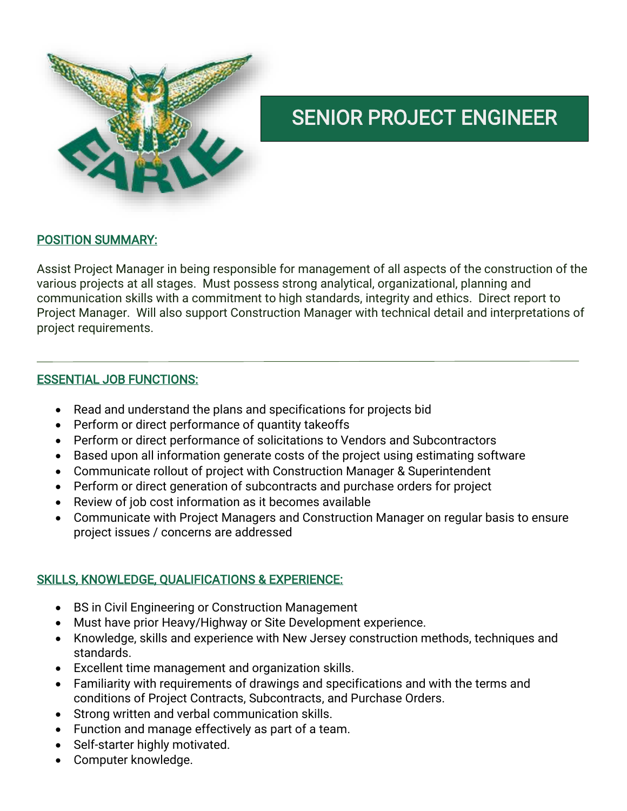

# SENIOR PROJECT ENGINEER

### POSITION SUMMARY:

Assist Project Manager in being responsible for management of all aspects of the construction of the various projects at all stages. Must possess strong analytical, organizational, planning and communication skills with a commitment to high standards, integrity and ethics. Direct report to Project Manager. Will also support Construction Manager with technical detail and interpretations of project requirements.

### ESSENTIAL JOB FUNCTIONS:

- Read and understand the plans and specifications for projects bid
- Perform or direct performance of quantity takeoffs
- Perform or direct performance of solicitations to Vendors and Subcontractors
- Based upon all information generate costs of the project using estimating software
- Communicate rollout of project with Construction Manager & Superintendent
- Perform or direct generation of subcontracts and purchase orders for project
- Review of job cost information as it becomes available
- Communicate with Project Managers and Construction Manager on regular basis to ensure project issues / concerns are addressed

## SKILLS, KNOWLEDGE, QUALIFICATIONS & EXPERIENCE:

- BS in Civil Engineering or Construction Management
- Must have prior Heavy/Highway or Site Development experience.
- Knowledge, skills and experience with New Jersey construction methods, techniques and standards.
- Excellent time management and organization skills.
- Familiarity with requirements of drawings and specifications and with the terms and conditions of Project Contracts, Subcontracts, and Purchase Orders.
- Strong written and verbal communication skills.
- Function and manage effectively as part of a team.
- Self-starter highly motivated.
- Computer knowledge.